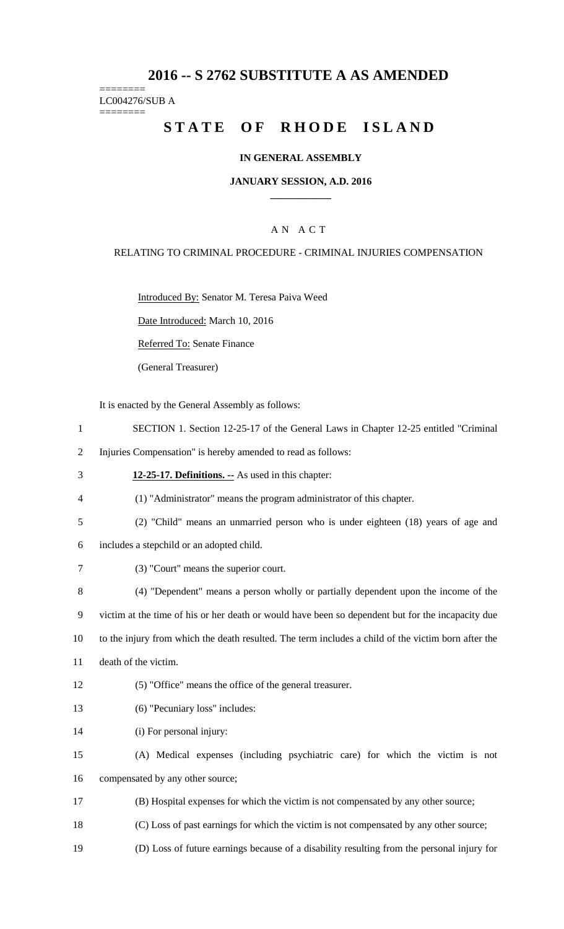## **2016 -- S 2762 SUBSTITUTE A AS AMENDED**

======== LC004276/SUB A

========

# **STATE OF RHODE ISLAND**

### **IN GENERAL ASSEMBLY**

#### **JANUARY SESSION, A.D. 2016 \_\_\_\_\_\_\_\_\_\_\_\_**

### A N A C T

#### RELATING TO CRIMINAL PROCEDURE - CRIMINAL INJURIES COMPENSATION

Introduced By: Senator M. Teresa Paiva Weed

Date Introduced: March 10, 2016

Referred To: Senate Finance

(General Treasurer)

It is enacted by the General Assembly as follows:

- 1 SECTION 1. Section 12-25-17 of the General Laws in Chapter 12-25 entitled "Criminal
- 2 Injuries Compensation" is hereby amended to read as follows:
- 3 **12-25-17. Definitions. --** As used in this chapter:
- 4 (1) "Administrator" means the program administrator of this chapter.
- 5 (2) "Child" means an unmarried person who is under eighteen (18) years of age and
- 6 includes a stepchild or an adopted child.
- 7 (3) "Court" means the superior court.

8 (4) "Dependent" means a person wholly or partially dependent upon the income of the 9 victim at the time of his or her death or would have been so dependent but for the incapacity due 10 to the injury from which the death resulted. The term includes a child of the victim born after the

- 11 death of the victim.
- 12 (5) "Office" means the office of the general treasurer.
- 13 (6) "Pecuniary loss" includes:
- 14 (i) For personal injury:
- 15 (A) Medical expenses (including psychiatric care) for which the victim is not 16 compensated by any other source;
- 17 (B) Hospital expenses for which the victim is not compensated by any other source;
- 18 (C) Loss of past earnings for which the victim is not compensated by any other source;
- 19 (D) Loss of future earnings because of a disability resulting from the personal injury for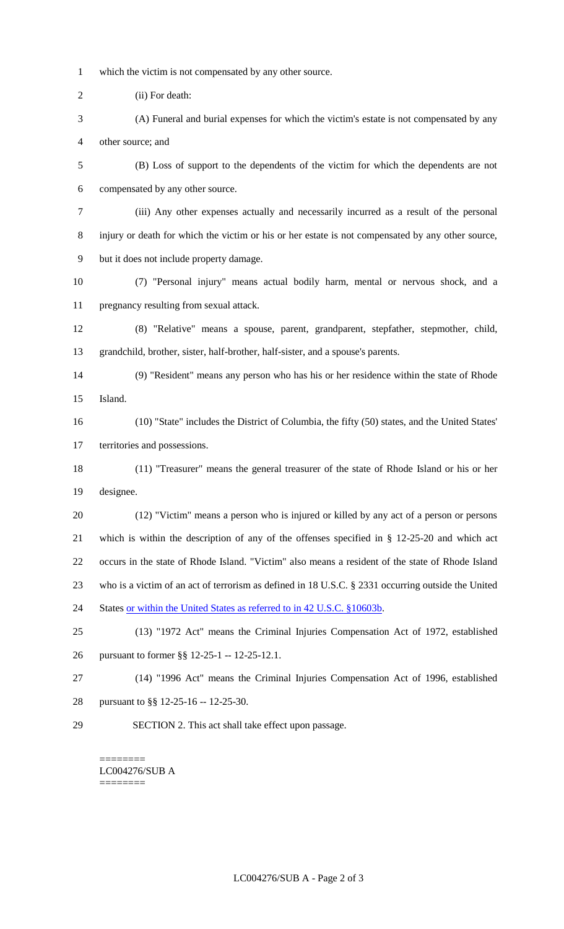- which the victim is not compensated by any other source.
- (ii) For death:
- (A) Funeral and burial expenses for which the victim's estate is not compensated by any other source; and
- (B) Loss of support to the dependents of the victim for which the dependents are not compensated by any other source.
- (iii) Any other expenses actually and necessarily incurred as a result of the personal injury or death for which the victim or his or her estate is not compensated by any other source, but it does not include property damage.
- (7) "Personal injury" means actual bodily harm, mental or nervous shock, and a pregnancy resulting from sexual attack.
- (8) "Relative" means a spouse, parent, grandparent, stepfather, stepmother, child, grandchild, brother, sister, half-brother, half-sister, and a spouse's parents.
- (9) "Resident" means any person who has his or her residence within the state of Rhode Island.
- (10) "State" includes the District of Columbia, the fifty (50) states, and the United States' territories and possessions.
- (11) "Treasurer" means the general treasurer of the state of Rhode Island or his or her designee.
- (12) "Victim" means a person who is injured or killed by any act of a person or persons which is within the description of any of the offenses specified in § 12-25-20 and which act occurs in the state of Rhode Island. "Victim" also means a resident of the state of Rhode Island who is a victim of an act of terrorism as defined in 18 U.S.C. § 2331 occurring outside the United 24 States or within the United States as referred to in 42 U.S.C. §10603b.
- (13) "1972 Act" means the Criminal Injuries Compensation Act of 1972, established pursuant to former §§ 12-25-1 -- 12-25-12.1.
- (14) "1996 Act" means the Criminal Injuries Compensation Act of 1996, established pursuant to §§ 12-25-16 -- 12-25-30.
- SECTION 2. This act shall take effect upon passage.

======== LC004276/SUB A ========